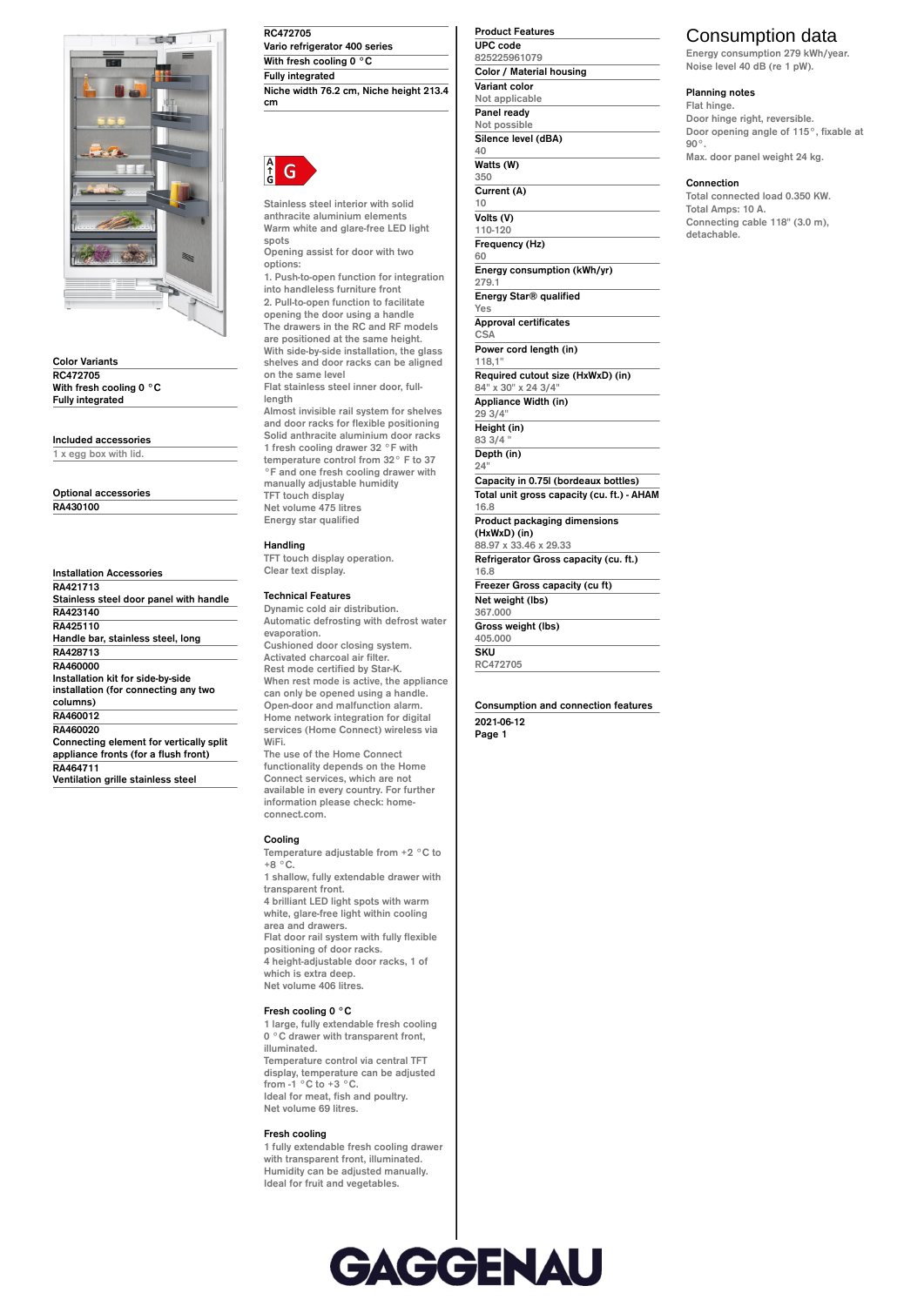

**Color Variants RC472705 With fresh cooling 0 °C Fully integrated**

**Included accessories**

**1 x egg box with lid.**

**Optional accessories RA430100**

**Installation Accessories RA421713 Stainless steel door panel with handle RA423140 RA425110 Handle bar, stainless steel, long RA428713 RA460000 Installation kit for side-by-side installation (for connecting any two columns) RA460012 RA460020 Connecting element for vertically split appliance fronts (for a flush front) RA464711**

**Ventilation grille stainless steel**

**RC472705 Vario refrigerator 400 series With fresh cooling 0 °C Fully integrated Niche width 76.2 cm, Niche height 213.4 cm**



**Stainless steel interior with solid anthracite aluminium elements Warm white and glare-free LED light spots**

**Opening assist for door with two options:**

**1. Push-to-open function for integration into handleless furniture front 2. Pull-to-open function to facilitate opening the door using a handle The drawers in the RC and RF models are positioned at the same height. With side-by-side installation, the glass shelves and door racks can be aligned on the same level**

**Flat stainless steel inner door, fulllength**

**Almost invisible rail system for shelves and door racks for flexible positioning Solid anthracite aluminium door racks 1 fresh cooling drawer 32 °F with temperature control from 32° F to 37 °F and one fresh cooling drawer with manually adjustable humidity TFT touch display Net volume 475 litres Energy star qualified**

## **Handling**

**TFT touch display operation. Clear text display.**

## **Technical Features**

**Dynamic cold air distribution. Automatic defrosting with defrost water evaporation. Cushioned door closing system. Activated charcoal air filter. Rest mode certified by Star-K.**

**When rest mode is active, the appliance can only be opened using a handle. Open-door and malfunction alarm. Home network integration for digital services (Home Connect) wireless via WiFi.**

**The use of the Home Connect functionality depends on the Home Connect services, which are not available in every country. For further information please check: homeconnect.com.**

#### **Cooling**

**Temperature adjustable from +2 °C to +8 °C.**

**1 shallow, fully extendable drawer with transparent front. 4 brilliant LED light spots with warm white, glare-free light within cooling area and drawers. Flat door rail system with fully flexible positioning of door racks. 4 height-adjustable door racks, 1 of which is extra deep. Net volume 406 litres.**

### **Fresh cooling 0 °C**

**1 large, fully extendable fresh cooling 0 °C drawer with transparent front, illuminated. Temperature control via central TFT display, temperature can be adjusted from -1 °C to +3 °C. Ideal for meat, fish and poultry. Net volume 69 litres.**

#### **Fresh cooling**

**1 fully extendable fresh cooling drawer with transparent front, illuminated. Humidity can be adjusted manually. Ideal for fruit and vegetables.**

**Product Features UPC code 825225961079 Color / Material housing Variant color Not applicable Panel ready Not possible Silence level (dBA) 40 Watts (W) 350 Current (A) 10 Volts (V) 110-120 Frequency (Hz) 60 Energy consumption (kWh/yr) 279.1 Energy Star® qualified Yes Approval certificates CSA Power cord length (in) 118,1" Required cutout size (HxWxD) (in) 84" x 30" x 24 3/4" Appliance Width (in) 29 3/4" Height (in) 83 3/4 " Depth (in) 24" Capacity in 0.75l (bordeaux bottles) Total unit gross capacity (cu. ft.) - AHAM 16.8 Product packaging dimensions (HxWxD) (in) 88.97 x 33.46 x 29.33 Refrigerator Gross capacity (cu. ft.) 16.8 Freezer Gross capacity (cu ft) Net weight (lbs) 367.000 Gross weight (lbs) 405.000 SKU**

**RC472705**

**Consumption and connection features 2021-06-12 Page 1**

# Consumption data

**Energy consumption 279 kWh/year. Noise level 40 dB (re 1 pW).**

### **Planning notes**

**Flat hinge. Door hinge right, reversible. Door opening angle of 115°, fixable at 90°. Max. door panel weight 24 kg.**

## **Connection**

**Total connected load 0.350 KW. Total Amps: 10 A. Connecting cable 118" (3.0 m), detachable.**